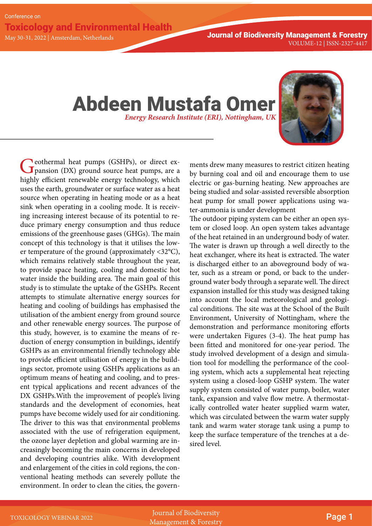VOLUME-12 | ISSN-2327-4417

## Abdeen Mustafa Omer *Energy Research Institute (ERI), Nottingham, UK*



Geothermal heat pumps (GSHPs), or direct expansion (DX) ground source heat pumps, are a highly efficient renewable energy technology, which uses the earth, groundwater or surface water as a heat source when operating in heating mode or as a heat sink when operating in a cooling mode. It is receiving increasing interest because of its potential to reduce primary energy consumption and thus reduce emissions of the greenhouse gases (GHGs). The main concept of this technology is that it utilises the lower temperature of the ground (approximately <32°C), which remains relatively stable throughout the year, to provide space heating, cooling and domestic hot water inside the building area. The main goal of this study is to stimulate the uptake of the GSHPs. Recent attempts to stimulate alternative energy sources for heating and cooling of buildings has emphasised the utilisation of the ambient energy from ground source and other renewable energy sources. The purpose of this study, however, is to examine the means of reduction of energy consumption in buildings, identify GSHPs as an environmental friendly technology able to provide efficient utilisation of energy in the buildings sector, promote using GSHPs applications as an optimum means of heating and cooling, and to present typical applications and recent advances of the DX GSHPs.With the improvement of people's living standards and the development of economies, heat pumps have become widely used for air conditioning. The driver to this was that environmental problems associated with the use of refrigeration equipment, the ozone layer depletion and global warming are increasingly becoming the main concerns in developed and developing countries alike. With development and enlargement of the cities in cold regions, the conventional heating methods can severely pollute the environment. In order to clean the cities, the govern-

ments drew many measures to restrict citizen heating by burning coal and oil and encourage them to use electric or gas-burning heating. New approaches are being studied and solar-assisted reversible absorption heat pump for small power applications using water-ammonia is under development

The outdoor piping system can be either an open system or closed loop. An open system takes advantage of the heat retained in an underground body of water. The water is drawn up through a well directly to the heat exchanger, where its heat is extracted. The water is discharged either to an aboveground body of water, such as a stream or pond, or back to the underground water body through a separate well. The direct expansion installed for this study was designed taking into account the local meteorological and geological conditions. The site was at the School of the Built Environment, University of Nottingham, where the demonstration and performance monitoring efforts were undertaken Figures (3-4). The heat pump has been fitted and monitored for one-year period. The study involved development of a design and simulation tool for modelling the performance of the cooling system, which acts a supplemental heat rejecting system using a closed-loop GSHP system. The water supply system consisted of water pump, boiler, water tank, expansion and valve flow metre. A thermostatically controlled water heater supplied warm water, which was circulated between the warm water supply tank and warm water storage tank using a pump to keep the surface temperature of the trenches at a desired level.